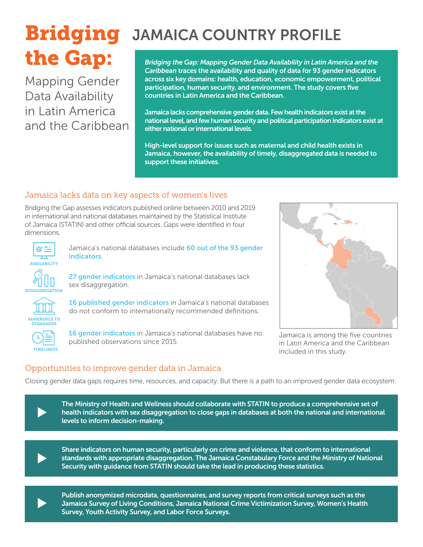# the Gap:

Mapping Gender Data Availability in Latin America and the Caribbean

# **Bridging** JAMAICA COUNTRY PROFILE

*Bridging the Gap: Mapping Gender Data Availability in Latin America and the Caribbean* traces the availability and quality of data for 93 gender indicators across six key domains: health, education, economic empowerment, political participation, human security, and environment. The study covers five countries in Latin America and the Caribbean.

Jamaica lacks comprehensive gender data. Few health indicators exist at the national level, and few human security and political participation indicators exist at either national or international levels.

High-level support for issues such as maternal and child health exists in Jamaica, however, the availability of timely, disaggregated data is needed to support these initiatives.

## Jamaica lacks data on key aspects of women's lives

Bridging the Gap assesses indicators published online between 2010 and 2019 in international and national databases maintained by the Statistical Institute of Jamaica (STATIN) and other official sources. Gaps were identified in four dimensions.



Jamaica's national databases include 60 out of the 93 gender indicators.

27 gender indicators in Jamaica's national databases lack sex disaggregation.



**DISAGGREGATION** 

16 published gender indicators in Jamaica's national databases do not conform to internationally recommended definitions.



16 gender indicators in Jamaica's national databases have no published observations since 2015.



Jamaica is among the five countries in Latin America and the Caribbean included in this study.

# Opportunities to improve gender data in Jamaica

Closing gender data gaps requires time, resources, and capacity. But there is a path to an improved gender data ecosystem:



 $\blacktriangleright$ 

Share indicators on human security, particularly on crime and violence, that conform to international standards with appropriate disaggregation. The Jamaica Constabulary Force and the Ministry of National Security with guidance from STATIN should take the lead in producing these statistics.



<sup>u</sup> Publish anonymized microdata, questionnaires, and survey reports from critical surveys such as the Jamaica Survey of Living Conditions, Jamaica National Crime Victimization Survey, Women's Health Survey, Youth Activity Survey, and Labor Force Surveys.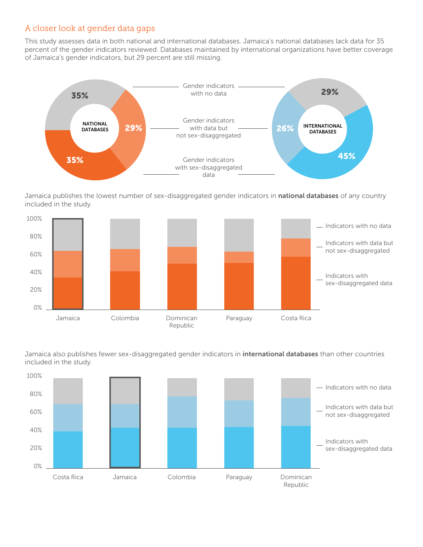#### A closer look at gender data gaps

This study assesses data in both national and international databases. Jamaica's national databases lack data for 35 percent of the gender indicators reviewed. Databases maintained by international organizations have better coverage of Jamaica's gender indicators, but 29 percent are still missing.



Jamaica publishes the lowest number of sex-disaggregated gender indicators in national databases of any country included in the study.



barnared also papalone<br>included in the study. Jamaica also publishes fewer sex-disaggregated gender indicators in *international databases* than other countries

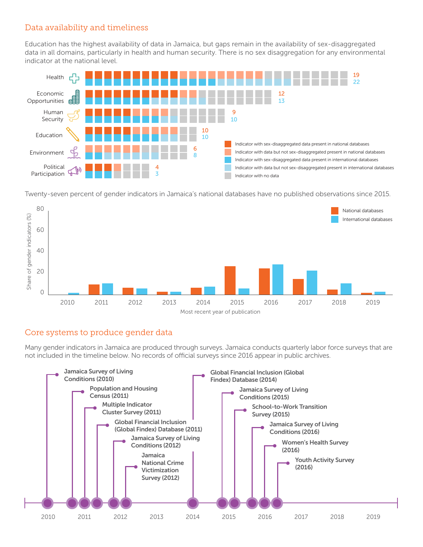#### Data availability and timeliness

Education has the highest availability of data in Jamaica, but gaps remain in the availability of sex-disaggregated data in all domains, particularly in health and human security. There is no sex disaggregation for any environmental indicator at the national level.



Twenty-seven percent of gender indicators in Jamaica's national databases have no published observations since 2015.



#### Core systems to produce gender data

Many gender indicators in Jamaica are produced through surveys. Jamaica conducts quarterly labor force surveys that are not included in the timeline below. No records of official surveys since 2016 appear in public archives.